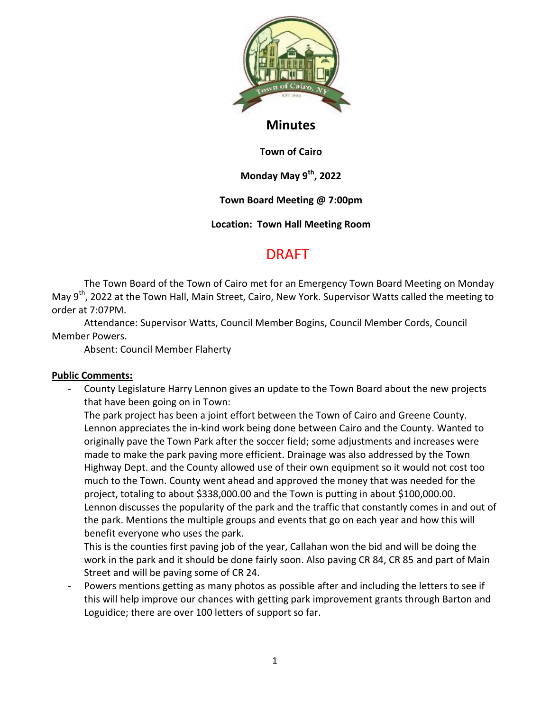

## **Minutes**

**Town of Cairo**

**Monday May 9th, 2022**

**Town Board Meeting @ 7:00pm**

**Location: Town Hall Meeting Room**

# DRAFT

The Town Board of the Town of Cairo met for an Emergency Town Board Meeting on Monday May 9<sup>th</sup>, 2022 at the Town Hall, Main Street, Cairo, New York. Supervisor Watts called the meeting to order at 7:07PM.

Attendance: Supervisor Watts, Council Member Bogins, Council Member Cords, Council Member Powers.

Absent: Council Member Flaherty

### **Public Comments:**

- County Legislature Harry Lennon gives an update to the Town Board about the new projects that have been going on in Town:

The park project has been a joint effort between the Town of Cairo and Greene County. Lennon appreciates the in-kind work being done between Cairo and the County. Wanted to originally pave the Town Park after the soccer field; some adjustments and increases were made to make the park paving more efficient. Drainage was also addressed by the Town Highway Dept. and the County allowed use of their own equipment so it would not cost too much to the Town. County went ahead and approved the money that was needed for the project, totaling to about \$338,000.00 and the Town is putting in about \$100,000.00. Lennon discusses the popularity of the park and the traffic that constantly comes in and out of the park. Mentions the multiple groups and events that go on each year and how this will benefit everyone who uses the park.

This is the counties first paving job of the year, Callahan won the bid and will be doing the work in the park and it should be done fairly soon. Also paving CR 84, CR 85 and part of Main Street and will be paving some of CR 24.

Powers mentions getting as many photos as possible after and including the letters to see if this will help improve our chances with getting park improvement grants through Barton and Loguidice; there are over 100 letters of support so far.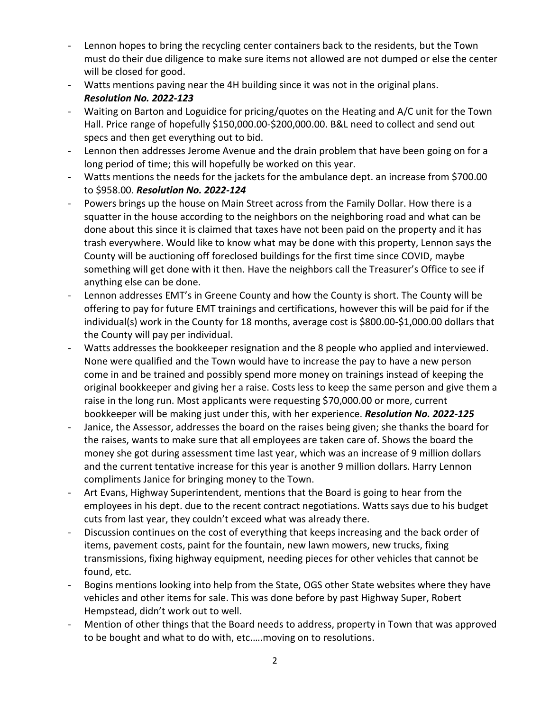- Lennon hopes to bring the recycling center containers back to the residents, but the Town must do their due diligence to make sure items not allowed are not dumped or else the center will be closed for good.
- Watts mentions paving near the 4H building since it was not in the original plans. *Resolution No. 2022-123*
- Waiting on Barton and Loguidice for pricing/quotes on the Heating and A/C unit for the Town Hall. Price range of hopefully \$150,000.00-\$200,000.00. B&L need to collect and send out specs and then get everything out to bid.
- Lennon then addresses Jerome Avenue and the drain problem that have been going on for a long period of time; this will hopefully be worked on this year.
- Watts mentions the needs for the jackets for the ambulance dept. an increase from \$700.00 to \$958.00. *Resolution No. 2022-124*
- Powers brings up the house on Main Street across from the Family Dollar. How there is a squatter in the house according to the neighbors on the neighboring road and what can be done about this since it is claimed that taxes have not been paid on the property and it has trash everywhere. Would like to know what may be done with this property, Lennon says the County will be auctioning off foreclosed buildings for the first time since COVID, maybe something will get done with it then. Have the neighbors call the Treasurer's Office to see if anything else can be done.
- Lennon addresses EMT's in Greene County and how the County is short. The County will be offering to pay for future EMT trainings and certifications, however this will be paid for if the individual(s) work in the County for 18 months, average cost is \$800.00-\$1,000.00 dollars that the County will pay per individual.
- Watts addresses the bookkeeper resignation and the 8 people who applied and interviewed. None were qualified and the Town would have to increase the pay to have a new person come in and be trained and possibly spend more money on trainings instead of keeping the original bookkeeper and giving her a raise. Costs less to keep the same person and give them a raise in the long run. Most applicants were requesting \$70,000.00 or more, current bookkeeper will be making just under this, with her experience. *Resolution No. 2022-125*
- Janice, the Assessor, addresses the board on the raises being given; she thanks the board for the raises, wants to make sure that all employees are taken care of. Shows the board the money she got during assessment time last year, which was an increase of 9 million dollars and the current tentative increase for this year is another 9 million dollars. Harry Lennon compliments Janice for bringing money to the Town.
- Art Evans, Highway Superintendent, mentions that the Board is going to hear from the employees in his dept. due to the recent contract negotiations. Watts says due to his budget cuts from last year, they couldn't exceed what was already there.
- Discussion continues on the cost of everything that keeps increasing and the back order of items, pavement costs, paint for the fountain, new lawn mowers, new trucks, fixing transmissions, fixing highway equipment, needing pieces for other vehicles that cannot be found, etc.
- Bogins mentions looking into help from the State, OGS other State websites where they have vehicles and other items for sale. This was done before by past Highway Super, Robert Hempstead, didn't work out to well.
- Mention of other things that the Board needs to address, property in Town that was approved to be bought and what to do with, etc.….moving on to resolutions.